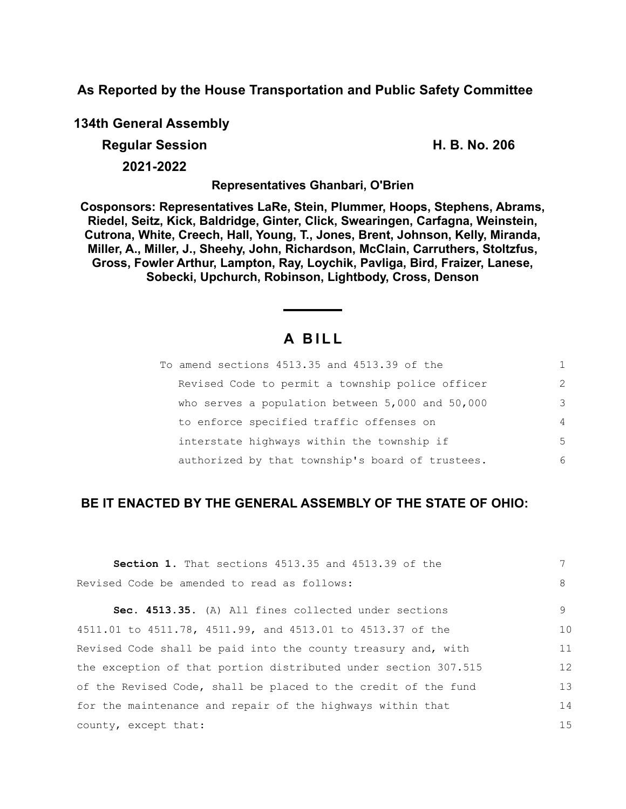**As Reported by the House Transportation and Public Safety Committee**

**134th General Assembly**

**Regular Session H. B. No. 206**

**2021-2022**

**Representatives Ghanbari, O'Brien**

**Cosponsors: Representatives LaRe, Stein, Plummer, Hoops, Stephens, Abrams, Riedel, Seitz, Kick, Baldridge, Ginter, Click, Swearingen, Carfagna, Weinstein, Cutrona, White, Creech, Hall, Young, T., Jones, Brent, Johnson, Kelly, Miranda, Miller, A., Miller, J., Sheehy, John, Richardson, McClain, Carruthers, Stoltzfus, Gross, Fowler Arthur, Lampton, Ray, Loychik, Pavliga, Bird, Fraizer, Lanese, Sobecki, Upchurch, Robinson, Lightbody, Cross, Denson**

# **A B I L L**

| To amend sections 4513.35 and 4513.39 of the         |                |
|------------------------------------------------------|----------------|
| Revised Code to permit a township police officer     | $\mathcal{L}$  |
| who serves a population between $5,000$ and $50,000$ | 3              |
| to enforce specified traffic offenses on             | $\overline{4}$ |
| interstate highways within the township if           | 5              |
| authorized by that township's board of trustees.     | 6              |

# **BE IT ENACTED BY THE GENERAL ASSEMBLY OF THE STATE OF OHIO:**

| <b>Section 1.</b> That sections 4513.35 and 4513.39 of the      |    |
|-----------------------------------------------------------------|----|
| Revised Code be amended to read as follows:                     | 8  |
| Sec. 4513.35. (A) All fines collected under sections            | 9  |
| 4511.01 to 4511.78, 4511.99, and 4513.01 to 4513.37 of the      | 10 |
| Revised Code shall be paid into the county treasury and, with   | 11 |
| the exception of that portion distributed under section 307.515 | 12 |
| of the Revised Code, shall be placed to the credit of the fund  | 13 |
| for the maintenance and repair of the highways within that      | 14 |
| county, except that:                                            | 15 |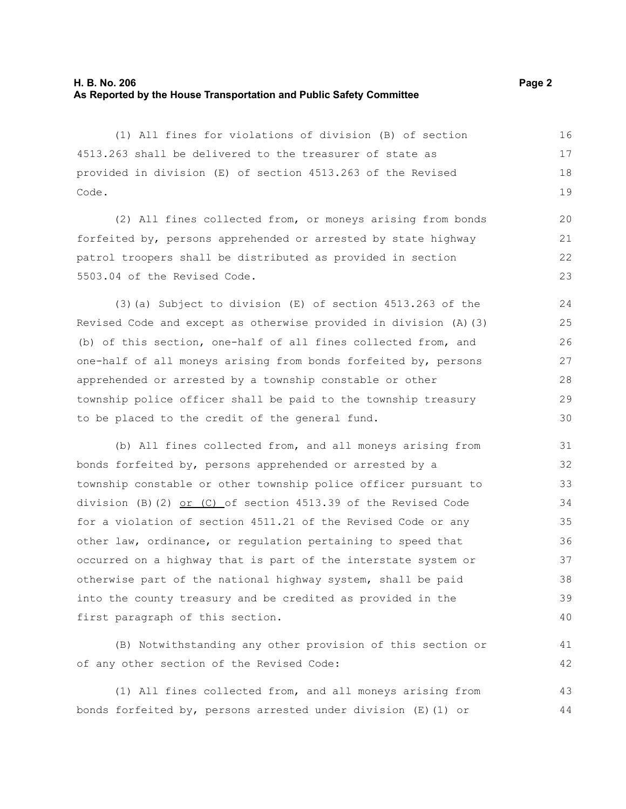### **H. B. No. 206 Page 2 As Reported by the House Transportation and Public Safety Committee**

(1) All fines for violations of division (B) of section 4513.263 shall be delivered to the treasurer of state as provided in division (E) of section 4513.263 of the Revised Code. 16 17 18 19

(2) All fines collected from, or moneys arising from bonds forfeited by, persons apprehended or arrested by state highway patrol troopers shall be distributed as provided in section 5503.04 of the Revised Code.

(3)(a) Subject to division (E) of section 4513.263 of the Revised Code and except as otherwise provided in division (A)(3) (b) of this section, one-half of all fines collected from, and one-half of all moneys arising from bonds forfeited by, persons apprehended or arrested by a township constable or other township police officer shall be paid to the township treasury to be placed to the credit of the general fund.

(b) All fines collected from, and all moneys arising from bonds forfeited by, persons apprehended or arrested by a township constable or other township police officer pursuant to division (B)(2) or (C) of section 4513.39 of the Revised Code for a violation of section 4511.21 of the Revised Code or any other law, ordinance, or regulation pertaining to speed that occurred on a highway that is part of the interstate system or otherwise part of the national highway system, shall be paid into the county treasury and be credited as provided in the first paragraph of this section. 31 32 33 34 35 36 37 38 39 40

(B) Notwithstanding any other provision of this section or of any other section of the Revised Code:

(1) All fines collected from, and all moneys arising from bonds forfeited by, persons arrested under division (E)(1) or 43 44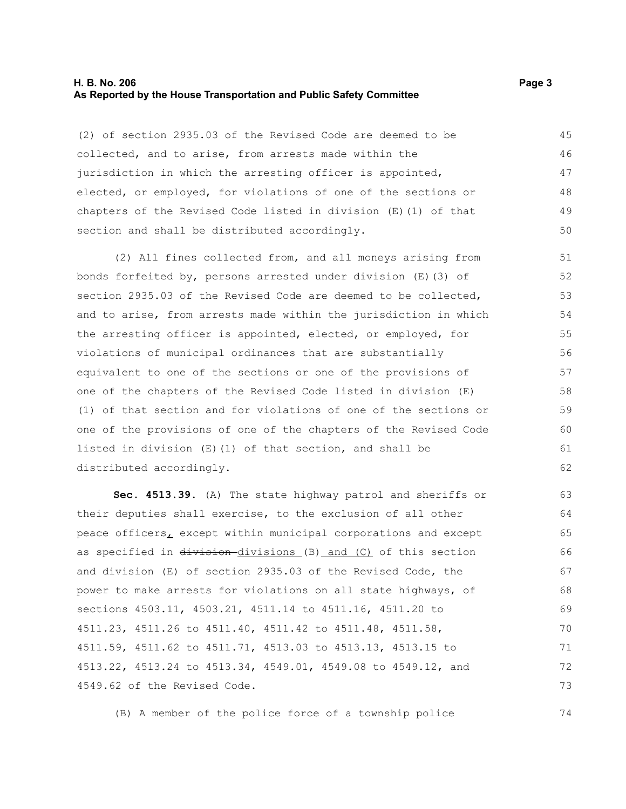#### **H. B. No. 206 Page 3 As Reported by the House Transportation and Public Safety Committee**

(2) of section 2935.03 of the Revised Code are deemed to be collected, and to arise, from arrests made within the jurisdiction in which the arresting officer is appointed, elected, or employed, for violations of one of the sections or chapters of the Revised Code listed in division (E)(1) of that section and shall be distributed accordingly. 45 46 47 48 49 50

(2) All fines collected from, and all moneys arising from bonds forfeited by, persons arrested under division (E)(3) of section 2935.03 of the Revised Code are deemed to be collected, and to arise, from arrests made within the jurisdiction in which the arresting officer is appointed, elected, or employed, for violations of municipal ordinances that are substantially equivalent to one of the sections or one of the provisions of one of the chapters of the Revised Code listed in division (E) (1) of that section and for violations of one of the sections or one of the provisions of one of the chapters of the Revised Code listed in division (E)(1) of that section, and shall be distributed accordingly. 51 52 53 54 55 56 57 58 59 60 61 62

**Sec. 4513.39.** (A) The state highway patrol and sheriffs or their deputies shall exercise, to the exclusion of all other peace officers, except within municipal corporations and except as specified in division-divisions (B) and (C) of this section and division (E) of section 2935.03 of the Revised Code, the power to make arrests for violations on all state highways, of sections 4503.11, 4503.21, 4511.14 to 4511.16, 4511.20 to 4511.23, 4511.26 to 4511.40, 4511.42 to 4511.48, 4511.58, 4511.59, 4511.62 to 4511.71, 4513.03 to 4513.13, 4513.15 to 4513.22, 4513.24 to 4513.34, 4549.01, 4549.08 to 4549.12, and 4549.62 of the Revised Code. 63 64 65 66 67 68 69 70 71 72 73

(B) A member of the police force of a township police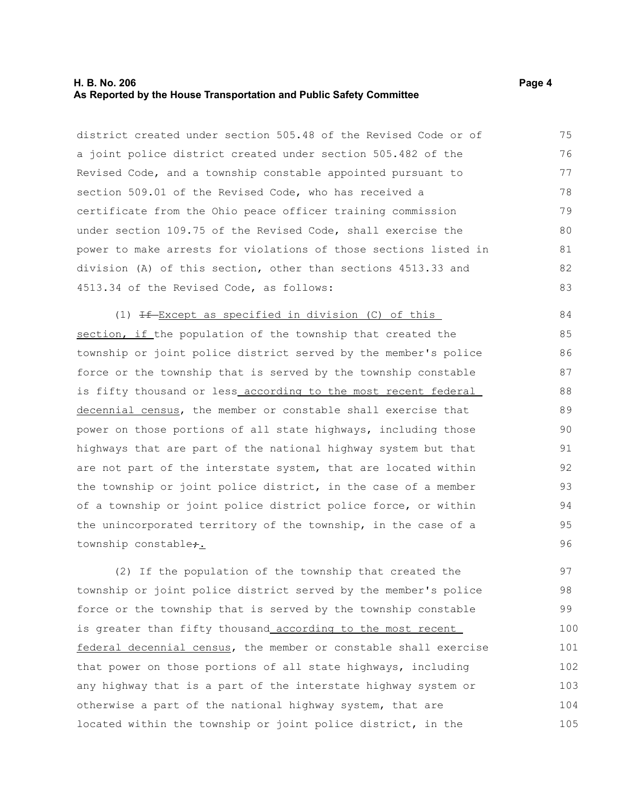#### **H. B. No. 206 Page 4 As Reported by the House Transportation and Public Safety Committee**

district created under section 505.48 of the Revised Code or of a joint police district created under section 505.482 of the Revised Code, and a township constable appointed pursuant to section 509.01 of the Revised Code, who has received a certificate from the Ohio peace officer training commission under section 109.75 of the Revised Code, shall exercise the power to make arrests for violations of those sections listed in division (A) of this section, other than sections 4513.33 and 4513.34 of the Revised Code, as follows: 75 76 77 78 79 80 81 82 83

(1)  $H - Except$  as specified in division (C) of this section, if the population of the township that created the township or joint police district served by the member's police force or the township that is served by the township constable is fifty thousand or less\_according to the most recent federal decennial census, the member or constable shall exercise that power on those portions of all state highways, including those highways that are part of the national highway system but that are not part of the interstate system, that are located within the township or joint police district, in the case of a member of a township or joint police district police force, or within the unincorporated territory of the township, in the case of a township constable<sub>7.</sub> 86 87

(2) If the population of the township that created the township or joint police district served by the member's police force or the township that is served by the township constable is greater than fifty thousand according to the most recent federal decennial census, the member or constable shall exercise that power on those portions of all state highways, including any highway that is a part of the interstate highway system or otherwise a part of the national highway system, that are located within the township or joint police district, in the 97 98 99 100 101 102 103 104 105

84 85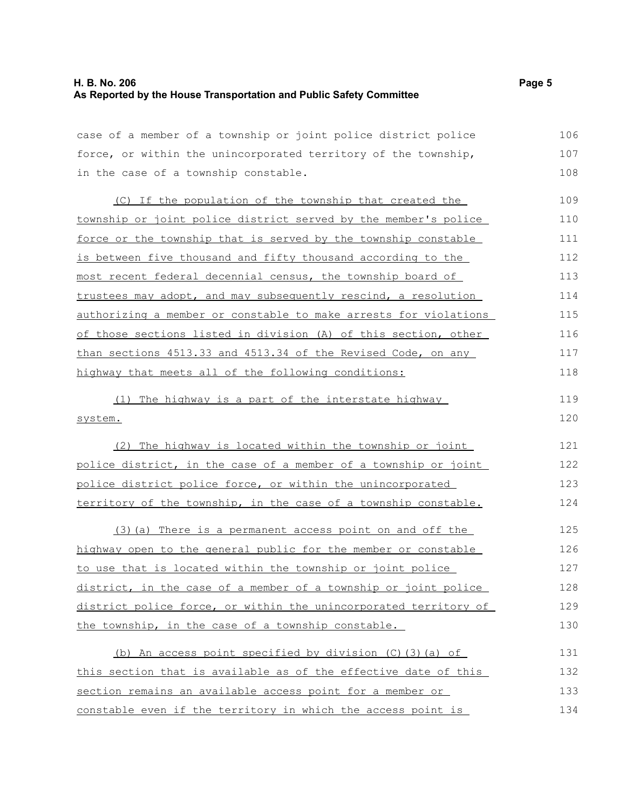## **H. B. No. 206 Page 5 As Reported by the House Transportation and Public Safety Committee**

case of a member of a township or joint police district police force, or within the unincorporated territory of the township, in the case of a township constable. 106 107 108

(C) If the population of the township that created the township or joint police district served by the member's police force or the township that is served by the township constable is between five thousand and fifty thousand according to the most recent federal decennial census, the township board of trustees may adopt, and may subsequently rescind, a resolution authorizing a member or constable to make arrests for violations of those sections listed in division (A) of this section, other than sections 4513.33 and 4513.34 of the Revised Code, on any highway that meets all of the following conditions: 109 110 111 112 113 114 115 116 117 118

(1) The highway is a part of the interstate highway system. 119 120

(2) The highway is located within the township or joint police district, in the case of a member of a township or joint police district police force, or within the unincorporated territory of the township, in the case of a township constable. 124

(3)(a) There is a permanent access point on and off the highway open to the general public for the member or constable to use that is located within the township or joint police district, in the case of a member of a township or joint police district police force, or within the unincorporated territory of the township, in the case of a township constable. 125 126 127 128 129 130

| (b) An access point specified by division $(C)$ (3) (a) of      | 131 |
|-----------------------------------------------------------------|-----|
| this section that is available as of the effective date of this | 132 |
| section remains an available access point for a member or       | 133 |
| constable even if the territory in which the access point is    | 134 |